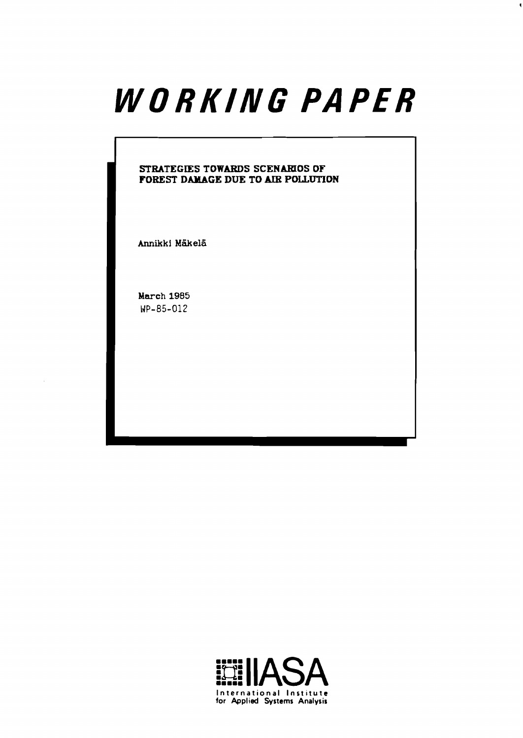# WORKING PAPER

#### **STRATEGIES TOWARDS SCENARIOS OF FOREST DAMAGE DUE TO** *AIR* **POLLUTION**

Annikki Mäkelä

**March 1985**  WP-85-012

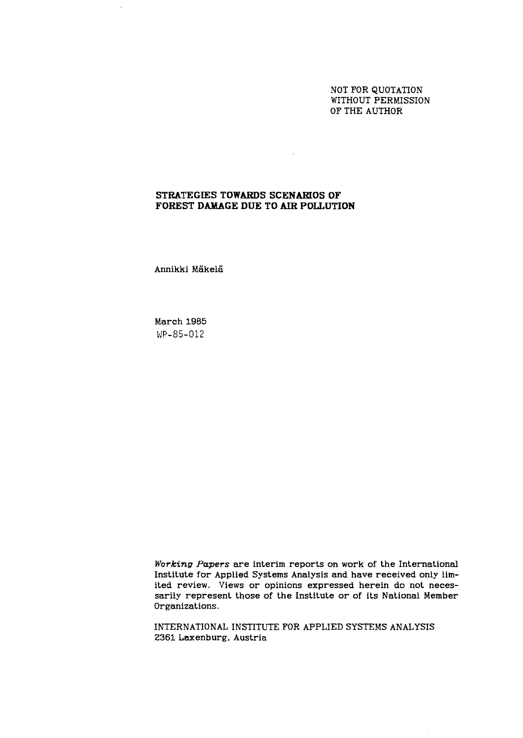NOT FOR QUOTATION WITHOUT PERMISSION OF THE AUTHOR

#### **STRATEGIES TOWARDS SCENARIOS OF FOREST DAMAGE DUE TO AIR POLLUTION**

 $\sim 10^{11}$  km s  $^{-1}$ 

Annikki Mäkelä

 $\bar{z}$ 

March 1985 WP-85-012

**Working Papers** are interim reports on work of the International Institute for Applied Systems Analysis and have received only limited review. Views or opinions expressed herein do not necessarily represent those of the Institute or of its National Member Organizations.

INTERNATIONAL INSTITUTE FOR APPLIED SYSTEMS ANALYSIS 2361 Laxenburg, Austria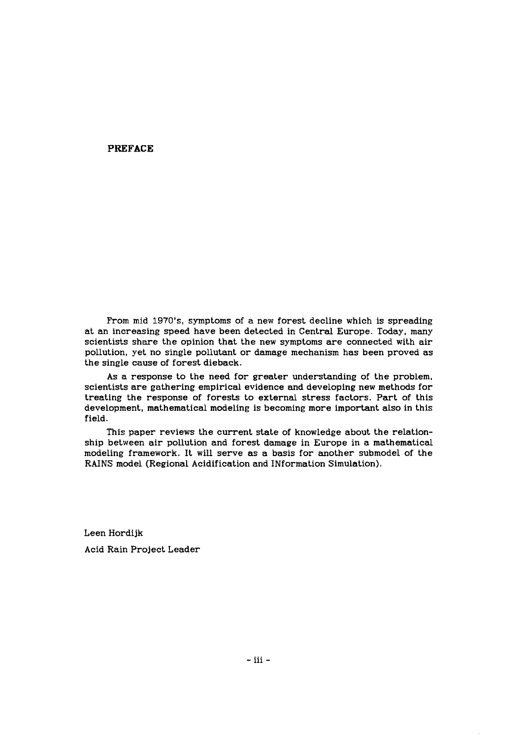#### **PREFACE**

From mid 1970's, symptoms of a new forest decline which is spreading at an increasing speed have been detected in Central Europe. Today, many scientists share the opinion that the new symptoms are connected with air pollution, yet no single pollutant or damage mechanism has been proved as the single cause of forest dieback.

As a response to the need for greater understanding of the problem, scientists are gathering empirical evidence and developing new methods for treating the response of forests to external stress factors. Part of this development, mathematical modeling is becoming more important also in this field.

This paper reviews the current state of knowledge about the relationship between air pollution and forest damage in Europe in a mathematical modeling framework. It will serve as a basis for another submodel of the RAINS model (Regional Acidification and INformation Simulation).

Leen Hordijk Acid Rain Project Leader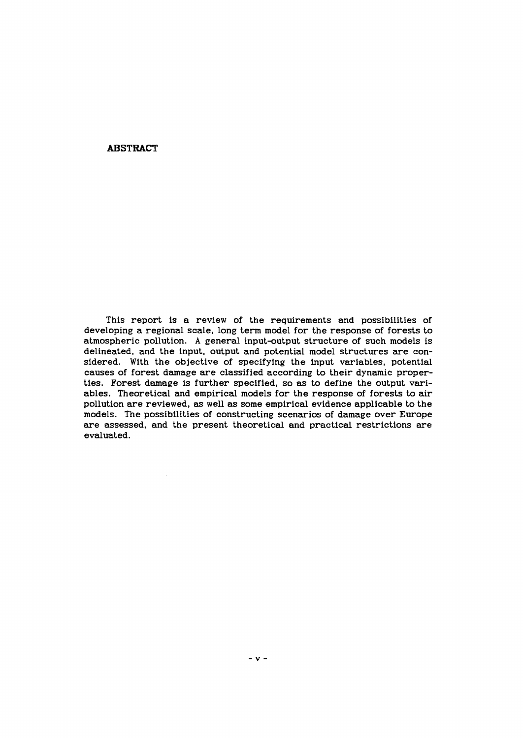#### **ABSTRACT**

This report is a review of the requirements and possibilities of developing a regional scale, long term model for the response of forests to atmospheric pollution. A general input-output structure of such models is delineated, and the input, output and potential model structures are considered. With the objective of specifying the input variables, potential causes of forest damage are classified according to their dynamic properties. Forest damage is further specified, so as to define the output variables. Theoretical and empirical models for the response of forests to air pollution are reviewed, as well as some empirical evidence applicable to the models. The possibilities of constructing scenarios of damage over Europe are assessed, and the present theoretical and practical restrictions are evaluated.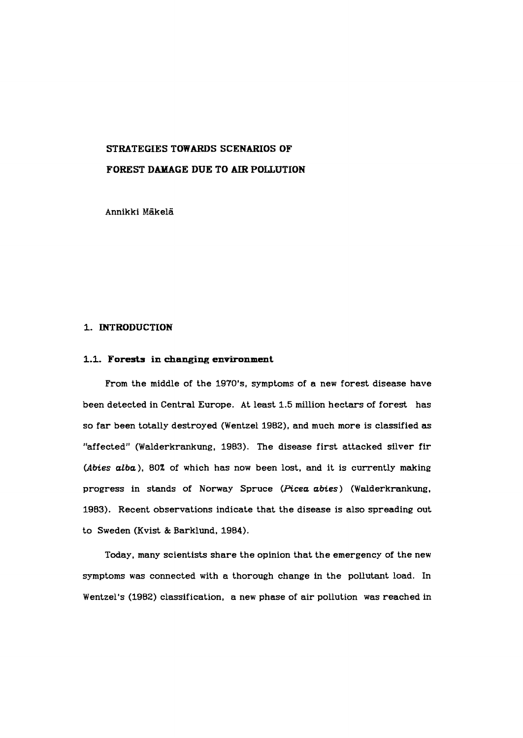## **STRATEGIES TOWARDS SCENARIOS OF**

#### **FOREST DAMAGE DUE TO** *AIR* **POLLUTION**

Annikki Mäkelä

#### **1. INTRODUCTION**

#### **1.1. Forests in changing environment**

From the middle of the 1970's, symptoms of a new forest disease have been detected in Central Europe. At least 1.5 million hectars of forest has so far been totally destroyed (Wentzel 1982), and much more is classified **as**  "affected" (Walderkrankung, 1983). The disease first attacked silver fir (Abies alba), 80% of which has now been lost, and it is currently making progress in stands of Norway Spruce (Picea abies) (Walderkrankung, 1983). Recent observations indicate that the disease is also spreading out to Sweden (Kvist & Barklund, 1984).

Today. many scientists share the opinion that the emergency of the new symptoms was connected with a thorough change in the pollutant load. In Wentzel's (1982) classification, a new phase of air pollution was reached in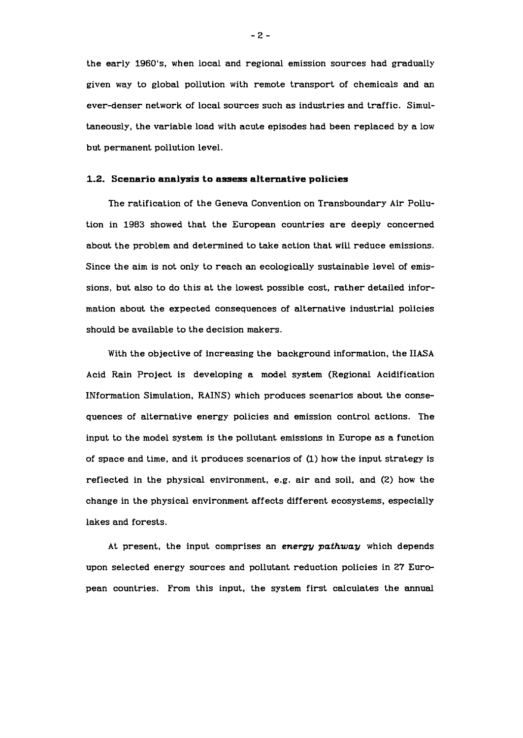the early 1960's. when local and regional emission sources had gradually given way to global pollution with remote transport of chemicals and **an**  ever-denser network of local sources such as industries and traffic. Simultaneously, the variable load with acute episodes had been replaced by a low but permanent pollution level.

#### **1.2. Scenario analysis to assess alternative policies**

The ratification of the Geneva Convention on Transboundary Air Pollution in 1983 showed that the European countries are deeply concerned about the problem and determined to take action that will reduce emissions. Since the aim is not only to reach **an** ecologically sustainable level of emissions, but also to do this at the lowest possible cost, rather detailed information about the expected consequences of alternative industrial policies should be available to the decision makers.

With the objective of increasing the background information, the IIASA Acid Rain Project is developing a model system (Regional Acidification IMformation Simulation, RAINS) which produces scenarios about the consequences of alternative energy policies and emission control actions. The input to the model system is the pollutant emissions in Europe as a function of space and time, and it produces scenarios of (1) how the input strategy is reflected in the physical environment, e.g. air and soil, and (2) how the change in the physical environment affects different ecosystems, especially lakes and forests.

At present, the input comprises an *energy pathway* which depends upon selected energy sources and pollutant reduction policies in 27 European countries. From this input, the system first calculates the annual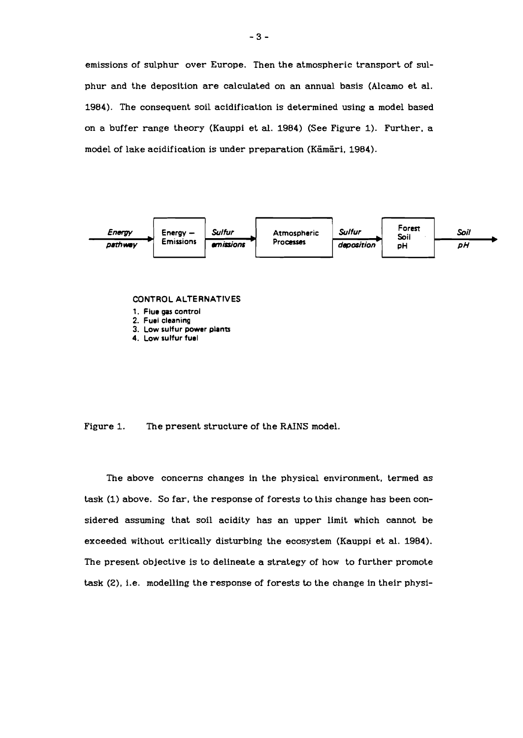emissions of sulphur over Europe. Then the atmospheric transport of sulphur and the deposition are calculated on an annual basis (Alcamo et al. 1984). The consequent soil acidification is determined using a model based on a buffer range theory (Kauppi et **al.** 1984) (See Figure 1). Further, a model of lake acidification is under preparation (Kämäri, 1984).



#### **CONTROL ALTERNATIVES**

- 1. Flue gas control
- **2. Fuel cleaning**
- **3. Low sulfur power plants**
- **4. Low sulfur fuel**

Figure 1. The present structure of the RAINS model.

The above concerns changes in the physical environment, termed as task (1) above. So far, the response of forests to this change has been considered assuming that soil acidity has an upper limit which cannot be exceeded without critically disturbing the ecosystem (Kauppi et **al.** 1984). The present objective is to delineate a strategy of how to further promote task **(Z),** i.e. modelling the response of forests to the change in their physi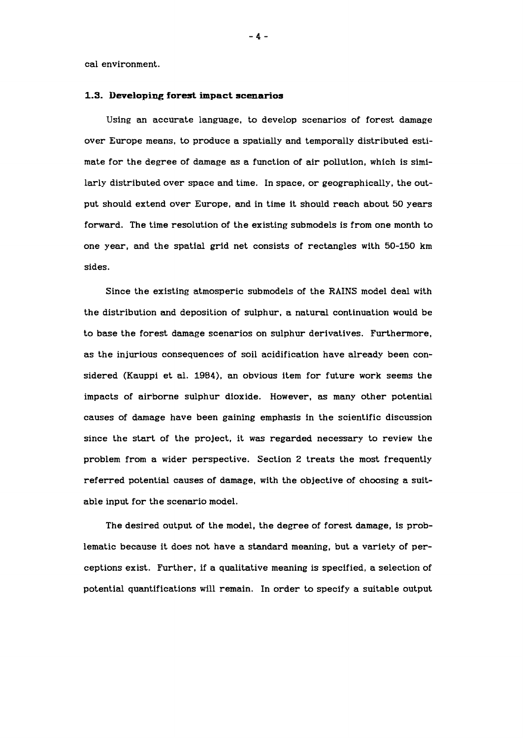cal environment.

#### **1.3. Developing forest impact scenarios**

Using an accurate language, to develop scenarios of forest damage over Europe means, to produce a spatially and temporally distributed estimate for the degree of damage as a function of air pollution, which is similarly distributed over space and time. In space, or geographically, the output should extend over Europe, and in time it should reach about 50 years forward. The time resolution of the existing submodels is from one month to one year, and the spatial grid net consists of rectangles with 50-150 km sides.

Since the existing atmosperic submodels of the RAINS model deal with the distribution and deposition of sulphur, a natural continuation would be to base the forest damage scenarios on sulphur derivatives. Furthermore, as the injurious consequences of soil acidification have already been considered (Kauppi et al. 1984), an obvious item for future work seems the impacts of airborne sulphur dioxide. However, as many other potential causes of damage have been gaining emphasis in the scientific discussion since the start of the project, it was regarded necessary to review the problem from a wider perspective. Section 2 treats the most frequently referred potential causes of damage, with the objective of choosing a suitable input for the scenario model.

The desired output of the model, the degree of forest damage, is problematic because it does not have a standard meaning, but a variety of perceptions exist. Further, if a qualitative meaning is specified, a selection of potential quantifications will remain. In order to specify a suitable output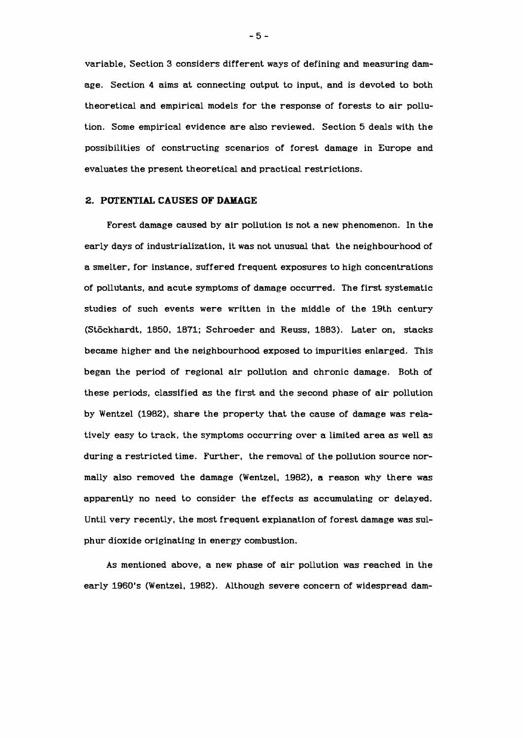variable, Section 3 considers different ways of defining and measuring damage. Section 4 aims at connecting output to input, and is devoted to both theoretical and empirical models for the response of forests to air pollution. Some empirical evidence are also reviewed. Section 5 deals with the possibilities of constructing scenarios of forest damage in Europe and evaluates the present theoretical and practical restrictions.

#### **2. POTENTLAL CAUSES OF DAMAGE**

Forest damage caused by air pollution is not a new phenomenon. In the early days of industrialization, it was not unusual that the neighbourhood of a smelter, for instance, suffered frequent exposures to high concentrations of pollutants, and acute symptoms of damage occurred. The first systematic studies of such events were written in the middle of the 19th century (Stöckhardt, 1850, 1871; Schroeder and Reuss, 1883). Later on, stacks became higher and the neighbourhood exposed to impurities enlarged. This began the period of regional air pollution and chronic damage. Both of these periods, classified as the first and the second phase of air pollution by Wentzel (1982), share the property that the cause of damage was relatively easy to track, the symptoms occurring over a limited area as well as during a restricted time. Further, the removal of the pollution source normally also removed the damage (Wentzel, 1902). a reason why there was apparently no need to consider the effects as accumulating or delayed. Until very recently, the most frequent explanation of forest damage was sulphur dioxide originating in energy combustion.

As mentioned above, a new phase of air pollution was reached in the early 1960's (Wentzel, 1982). Although severe concern of widespread dam-

 $-5-$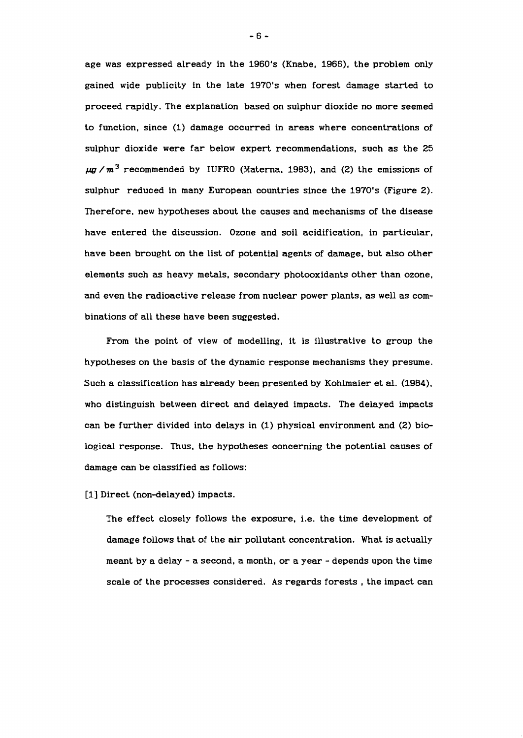age was expressed already in the 1960's (Knabe, 1966), the problem only gained wide publicity in the late 1970's when forest damage started to proceed rapidly. The explanation based on sulphur dioxide no more seemed to function, since (1) damage occurred in areas where concentrations of sulphur dioxide were far below expert recommendations, such as the 25  $\mu q$  /m<sup>3</sup> recommended by IUFRO (Materna, 1983), and (2) the emissions of sulphur reduced in many European countries since the 1970's (Figure 2). Therefore, new hypotheses about the causes and mechanisms of the disease have entered the discussion. Ozone and soil acidification, in particular, have been brought on the list of potential agents of damage, but also other elements such as heavy metals, secondary photooxidants other than ozone. and even the radioactive release from nuclear power plants, as well as combinations of all these have been suggested.

From the point of view of modelling, it is illustrative to group the hypotheses on the basis of the dynamic response mechanisms they presume. Such a classification has already been presented by Kohlmaier et al. (1984), who distinguish between direct and delayed impacts. The delayed impacts can be further divided into delays in (1) physical environment and (2) biological response. Thus, the hypotheses concerning the potential causes of damage can be classified as follows:

[1] Direct (non-delayed) impacts.

The effect closely follows the exposure, i.e. the time development of damage follows that of the air pollutant concentration. What is actually meant by a delay - a second, a month, or a year - depends upon the time scale of the processes considered. As regards forests , the impact can

 $-6-$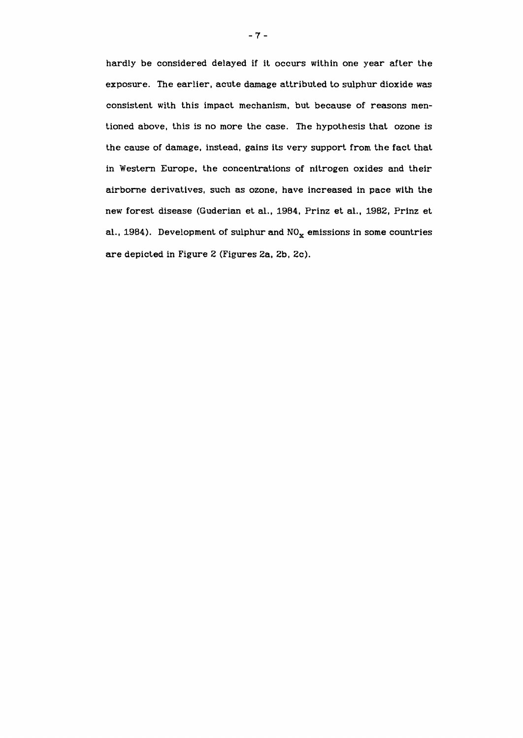hardly be considered delayed if it occurs within one year after the exposure. The earlier, acute damage attributed to sulphur dioxide was consistent with this impact mechanism, but because of reasons mentioned above, this is no more the case. The hypothesis that ozone is the cause of damage, instead, gains its very support from the fact that in Western Europe, the concentrations of nitrogen oxides and their airborne derivatives, such as ozone, have increased in pace with the new forest disease (Guderian et al., 1984, Prinz et al., 1982, Prinz et al., 1984). Development of sulphur and  $NO_x$  emissions in some countries are depicted in Figure 2 (Figures Za, 2b, 2c).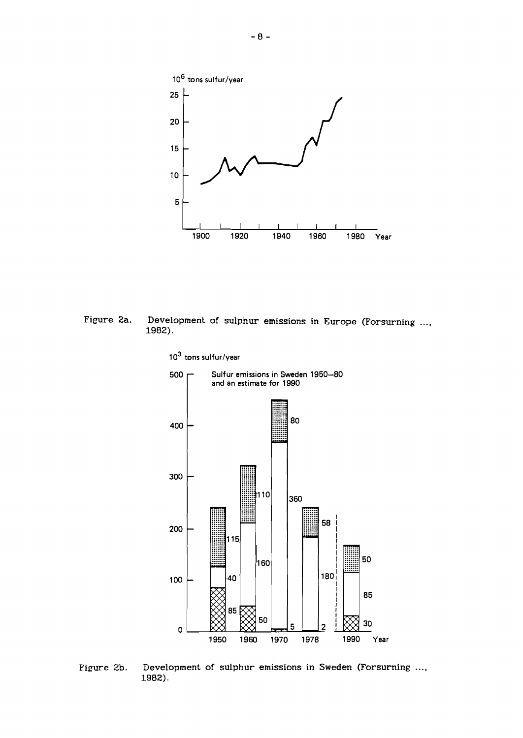

**Figure 2a. Development of sulphur emissions in Europe (Forsurning 1982).** 



Figure 2b. Development of sulphur emissions in Sweden (Forsurning ..., **1982).**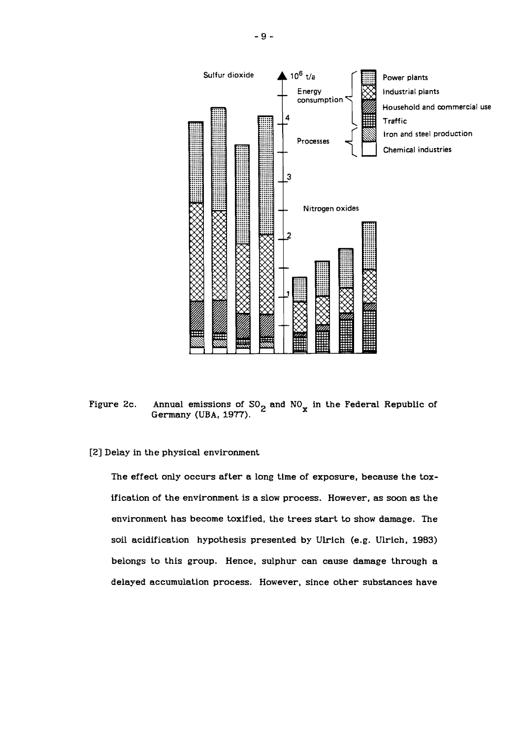

Figure 2c. Annual emissions of  $SO_2$  and  $NO_x$  in the Federal Republic of Germany (UBA, **1977).** 

[2] Delay in the physical environment

The effect only occurs after a long time of exposure, because the toxification of the environment is a slow process. However, as soon as the environment has become toxified, the trees start to show damage. The soil acidification hypothesis presented by Ulrich (e.g. Ulrich, 1983) belongs to this group. Hence, sulphur can cause damage through a delayed accumulation process. However, since other substances have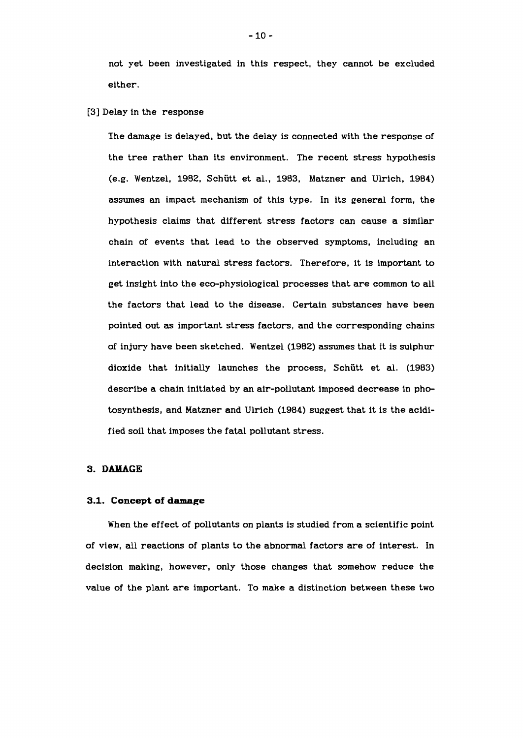not yet been investigated in this respect, they cannot be excluded either.

[3] Delay in the response

The damage is delayed, but the delay is connected with the response of the tree rather than its environment. The recent stress hypothesis (e.g. Wentzel, 1982, Schutt et al., 1983, Matzner and Ulrich, 1984) assumes an impact mechanism of this type. In its general form, the hypothesis claims that different stress factors can cause a similar chain of events that lead to the observed symptoms, including an interaction with natural stress factors. Therefore, it is important to get insight into the eco-physiological processes that are common to all the factors that lead to the disease. Certain substances have been pointed out as important stress factors, and the corresponding chains of injury have been sketched. Wentzel (1982) assumes that it is sulphur dioxide that initially launches the process, Schiitt et al. (1983) describe a chain initiated by an air-pollutant imposed decrease in photosynthesis, and Matzner and Ulrich (1984) suggest that it is the acidified soil that imposes the fatal pollutant stress.

#### **3. DAMAGE**

#### **3.1. Concept of damage**

When the effect of pollutants on plants is studied from a scientific point of view, all reactions of plants to the abnormal factors are of interest. In decision making, however, only those changes that somehow reduce the value of the plant are important. To make a distinction between these two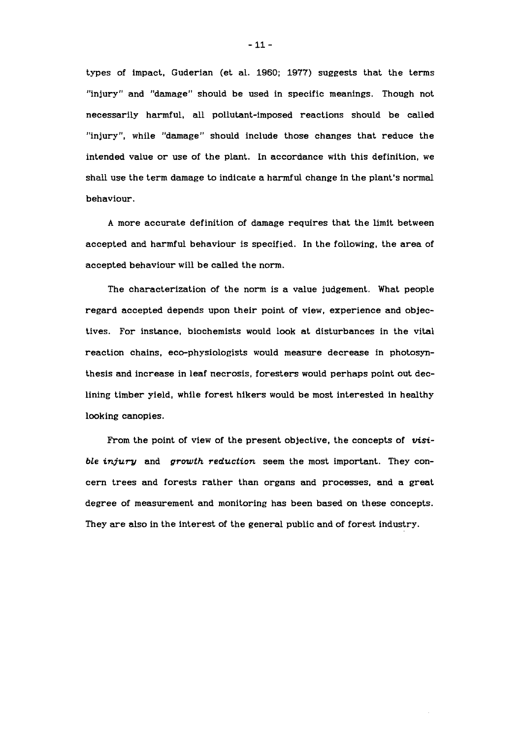types of impact, Guderian (et al. **1960; 1977)** suggests that the terms "injury" and "damage" should be used in specific meanings. Though not necessarily harmful, all pollutant-imposed reactions should be called "injury", while "damage" should include those changes that reduce the intended value or use of the plant. In accordance with this definition, we shall use the term damage to indicate a harmful change in the plant's normal behaviour.

A more accurate definition of damage requires that the limit between accepted and harmful behaviour is specified. In the following, the area of accepted behaviour will be called the norm.

The characterization of the norm is a value judgement. What people regard accepted depends upon their point of view, experience and objectives. For instance, biochemists would look at disturbances in the vital reaction chains, eco-physiologists would measure decrease in photosynthesis and increase in leaf necrosis, foresters would perhaps point out declining timber yield, while forest hikers would be most interested in healthy looking canopies.

From the point of view of the present objective, the concepts of **visi**ble *injury* and *growth reduction* seem the most important. They concern trees and forests rather than organs and processes, and a great degree of measurement and monitoring has been based on these concepts. They are also in the interest of the general public and of forest industry.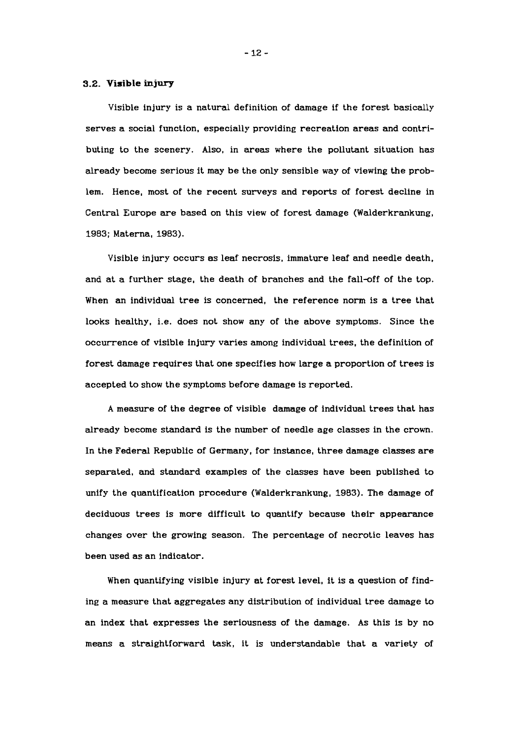#### **3.2. Visible injury**

Visible injury is a natural definition of damage if the forest basically serves a social function, especially providing recreation areas and contributing to the scenery. Also, in areas where the pollutant situation has already become serious it may be the only sensible way of viewing the problem. Hence, most of the recent surveys and reports of forest decline in Central Europe are based on this view of forest damage (Walderkrankung, **1983;** Materna, **1983).** 

Visible injury occurs as leaf necrosis, immature leaf and needle death, and at a further stage, the death of branches and the fall-off of the top. When an individual tree is concerned, the reference norm is a tree that looks healthy, i.e. does not show any of the above symptoms. Since the occurrence of visible injury varies among individual trees, the definition of forest damage requires that one specifies how large a proportion of trees is accepted to show the symptoms before damage is reported.

A measure of the degree of visible damage of individual trees that has already become standard is the number of needle age classes in the crown. In the Federal Republic of Germany, for instance, three damage classes are separated, and standard examples of the classes have been published to unify the quantification procedure (Walderkrankung, **1983).** The damage of deciduous trees is more difficult to quantify because their appearance changes over the growing season. The percentage of necrotic leaves has been used as an indicator.

When quantifying visible injury at forest level, it is a question of finding a measure that aggregates any distribution of individual tree damage to an index that expresses the seriousness of the damage. As this is by no means a straightforward task, it is understandable that a variety of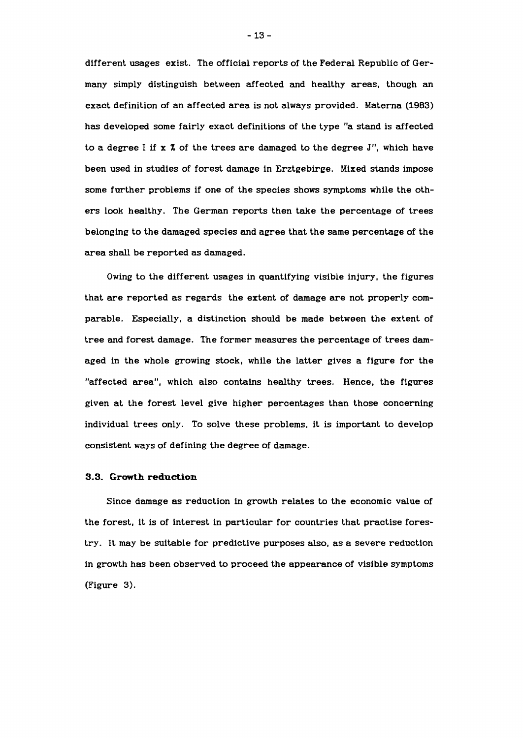different usages exist. The official reports of the Federal Republic of Germany simply distinguish between affected and healthy areas, though an exact definition of an affected area is not always provided. Materna (1983) has developed some fairly exact definitions of the type "a stand is affected to a degree I if **x** % of the trees are damaged to the degree J", which have been used in studies of forest damage in Erztgebirge. Mixed stands impose some further problems if one of the species shows symptoms while the others look healthy. The German reports then take the percentage of trees belonging to the damaged species and agree that the same percentage of the area shall be reported as damaged.

Owing to the different usages in quantifying visible injury, the figures that are reported as regards the extent of damage are not properly comparable. Especially, a distinction should be made between the extent of tree and forest damage. The former measures the percentage of trees damaged in the whole growing stock, while the latter gives a figure for the "affected area", which also contains healthy trees. Hence, the figures given at the forest level give higher percentages than those concerning individual trees only. To solve these problems, it is important to develop consistent ways of defining the degree of damage.

#### **3.3. Growth reduction**

Since damage as reduction in growth relates to the economic value of the forest, it is of interest in particular for countries that practise forestry. It may be suitable for predictive purposes also, as a severe reduction in growth has been observed to proceed the appearance of visible symptoms (Figure 3).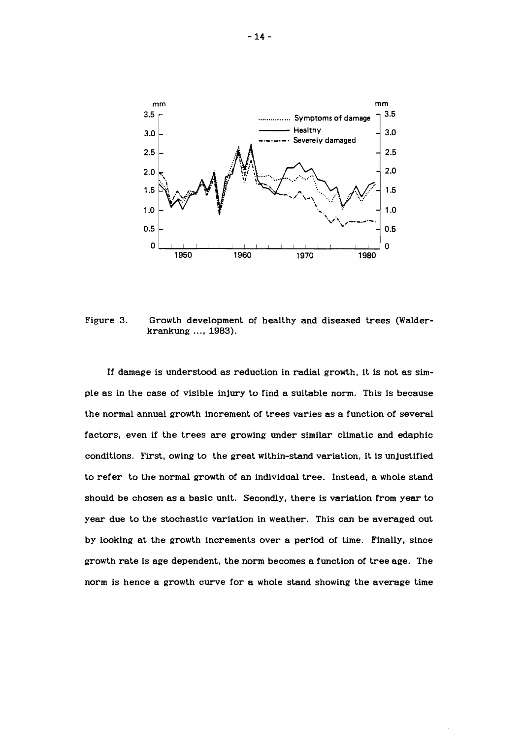

Figure 3. Growth development of healthy and diseased trees (Walderkrankung ..., 1983).

If damage is understood as reduction in radial growth, it is not as simple as in the case of visible injury to find a suitable norm. This is because the normal annual growth increment of trees varies as a function of several factors, even if the trees are growing under similar climatic and edaphic conditions. First, owing to the great within-stand variation, it is unjustified to refer to the normal growth of an individual tree. Instead, a whole stand should be chosen as a basic unit. Secondly, there is variation from year to year due to the stochastic variation in weather. This can be averaged out by looking at the growth increments over a period of time. Finally, since growth rate is age dependent, the norm becomes a function of tree age. The norm is hence a growth curve for a whole stand showing the average time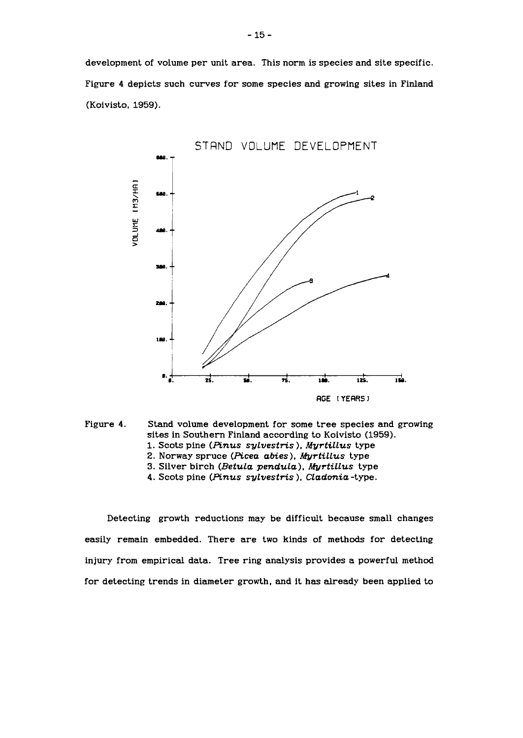development of volume per unit area. This norm is species and site specific. Figure 4 depicts such curves for some species and growing sites in Finland (Koivisto, *1959).* 





- *1.* Scots pine *(Pinus sylvestris* ), *MyrtiLLus* type
- 2. Norway spruce *(Picea abies)*, *Myrtillus* type
- 3. Silver birch (Betula pendula), Myrtillus type
- *4.* Scots pine *(Pinus sylvestris* ), *Wadonia* -type.

Detecting growth reductions may be difficult because small changes easily remain embedded. There are two kinds of methods for detecting injury from empirical data. Tree ring analysis provides a powerful method for detecting trends in diameter growth, and it has already been applied to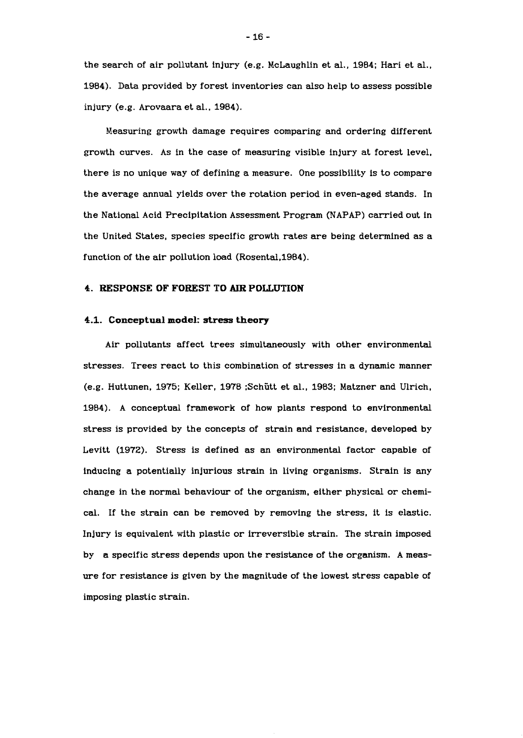the search of air pollutant injury (e.g. McLaughlin et al., 1984; Hari et al., 1984). Data provided by forest inventories can also help to assess possible injury (e.g. Arovaara et al., 1984).

Measuring growth damage requires comparing and ordering different growth curves. As in the case of measuring visible injury at forest level, there is no unique way of defining a measure. One possibility is to compare the average annual yields over the rotation period in even-aged stands. In the National Acid Precipitation Assessment Program (NAPAP) carried out in the United States, species specific growth rates are being determined as a function of the air pollution load (Rosental, 1984).

#### **4. RESPONSE OF FOREST TO** AIR **POLLUTION**

#### **4.1. Conceptual model: stress theory**

Air pollutants affect trees simultaneously with other environmental stresses. Trees react to this combination of stresses in a dynamic manner (e.g. Huttunen, 1975; Keller, 1978 ;Schiitt et al., 1983; Matzner and Ulrich, 1984). A conceptual framework of how plants respond to environmental stress is provided by the concepts of strain and resistance, developed by Levitt (1972). Stress is defined as an environmental factor capable of inducing a potentially injurious strain in living organisms. Strain is any change in the normal behaviour of the organism, either physical or chemical. If the strain can be removed by removing the stress, it is elastic. Injury is equivalent with plastic or irreversible strain. The strain imposed by a specific stress depends upon the resistance of the organism. A measure for resistance is given by the magnitude of the lowest stress capable of imposing plastic strain.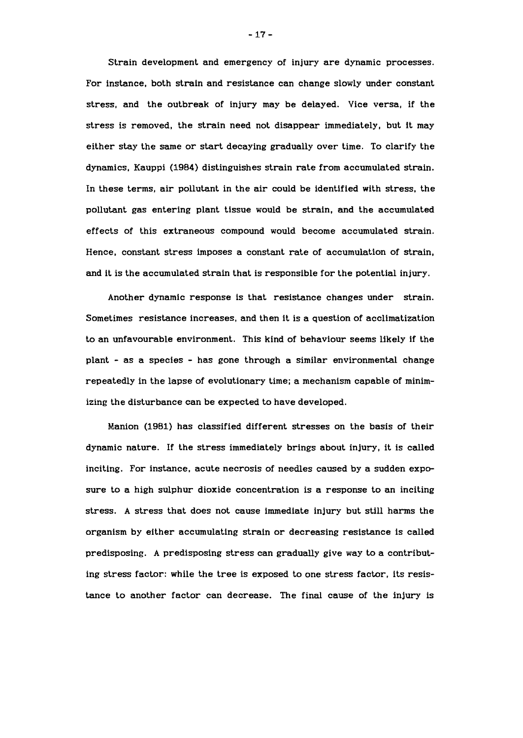Strain development and emergency of injury are dynamic processes. For instance, both strain and resistance can change slowly under constant stress, and the outbreak of injury may be delayed. Vice versa, if the stress is removed, the strain need not disappear immediately, but it may either stay the same or start decaying gradually over time. To clarify the dynamics, Kauppi **(1984)** distinguishes strain rate from accumulated strain. In these terms, air pollutant in the air could be identified with stress, the pollutant gas entering plant tissue would be strain, and the accumulated effects of this extraneous compound would become accumulated strain. Hence, constant stress imposes a constant rate of accumulation of strain, and it is the accumulated strain that is responsible for the potential injury.

Another dynamic response is that resistance changes under strain. Sometimes resistance increases, and then it is a question of acclimatization to an unfavourable environment. This kind of behaviour seems likely if the plant - as a species - has gone through a similar environmental change repeatedly in the lapse of evolutionary time; a mechanism capable of minimizing the disturbance can be expected to have developed.

Manion **(1981)** has classified different stresses on the basis of their dynamic nature. If the stress immediately brings about injury, it is called inciting. For instance, acute necrosis of needles caused by a sudden exposure to a high sulphur dioxide concentration is a response to an inciting stress. A stress that does not cause immediate injury but still harms the organism by either accumulating strain or decreasing resistance is called predisposing. A predisposing stress can gradually give way to a contributing stress factor: while the tree is exposed to one stress factor, its resistance to another factor can decrease. The final cause of the injury is

 $-17-$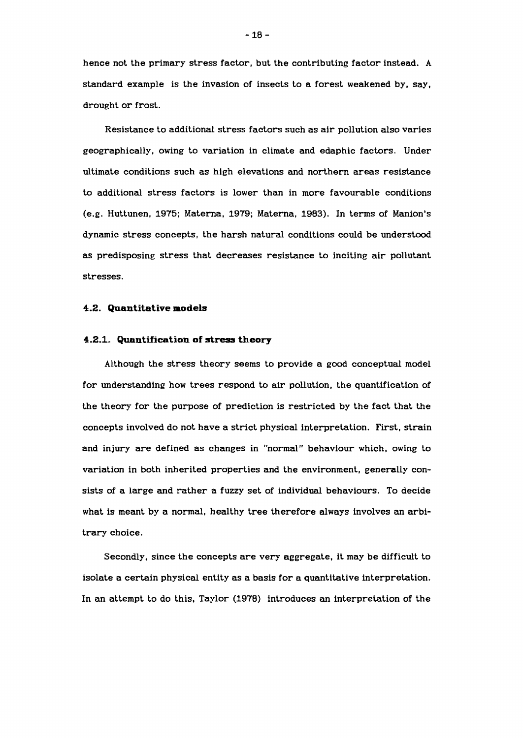hence not the primary stress factor, but the contributing factor instead. A standard example is the invasion of insects to a forest weakened by, say, drought or frost.

Resistance to additional stress factors such as air pollution also varies geographically, owing to variation in climate and edaphic factors. Under ultimate conditions such as high elevations and northern areas resistance to additional stress factors is lower than in more favourable conditions (e.g. Huttunen, 1975; Materna, 1979; Materna, 1983). In terms of Manion's dynamic stress concepts, the harsh natural conditions could be understood as predisposing stress that decreases resistance to inciting air pollutant stresses.

#### **4.2. Quantitative models**

#### **4.2.1. Quantification of stress theory**

Although the stress theory seems to provide a good conceptual model for understanding how trees respond to air pollution, the quantification of the theory for the purpose of prediction is restricted by the fact that the concepts involved do not have a strict physical interpretation. First, strain and injury are defined as changes in "normal" behaviour which, owing to variation in both inherited properties and the environment, generally consists of a large and rather a fuzzy set of individual behaviours. To decide what is meant by a normal, healthy tree therefore always involves an arbitrary choice.

Secondly, since the concepts are very aggregate, it may be difficult to isolate a certain physical entity as a basis for a quantitative interpretation. In an attempt to do this, Taylor (1978) introduces an interpretation of the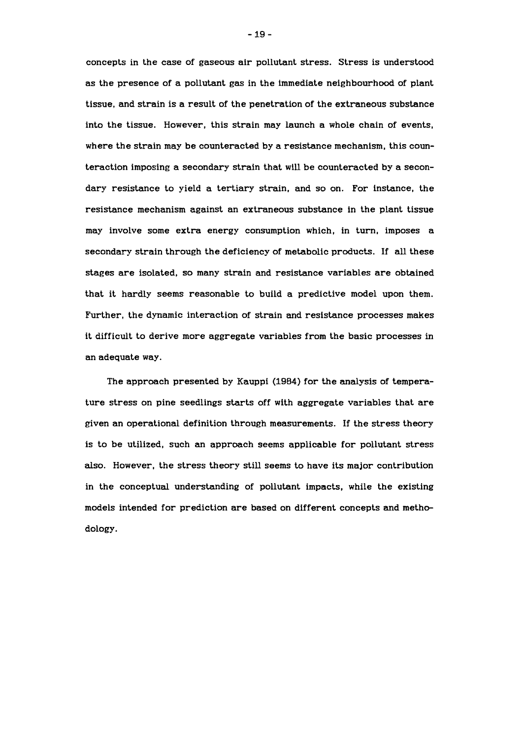concepts in the case of gaseous air pollutant stress. Stress is understood as the presence of a pollutant gas in the immediate neighbourhood of plant tissue, and strain is a result of the penetration of the extraneous substance into the tissue. However, this strain may launch a whole chain of events, where the strain may be counteracted by a resistance mechanism, this counteraction imposing a secondary strain that will be counteracted by a secondary resistance to yield a tertiary strain, and so on. For instance, the resistance mechanism against an extraneous substance in the plant tissue may involve some extra energy consumption which, in turn, imposes a secondary strain through the deficiency of metabolic products. If all these stages are isolated, so many strain and resistance variables are obtained that it hardly seems reasonable to build a predictive model upon them. Further, the dynamic interaction of strain and resistance processes makes it difficult to derive more aggregate variables from the basic processes in an adequate way.

The approach presented by Kauppi (1984) for the analysis of temperature stress on pine seedlings starts off with aggregate variables that are given an operational definition through measurements. If the stress theory is to be utilized, such an approach seems applicable for pollutant stress also. However, the stress theory still seems to have its major contribution in the conceptual understanding of pollutant impacts, while the existing models intended for prediction are based on different concepts and methodology.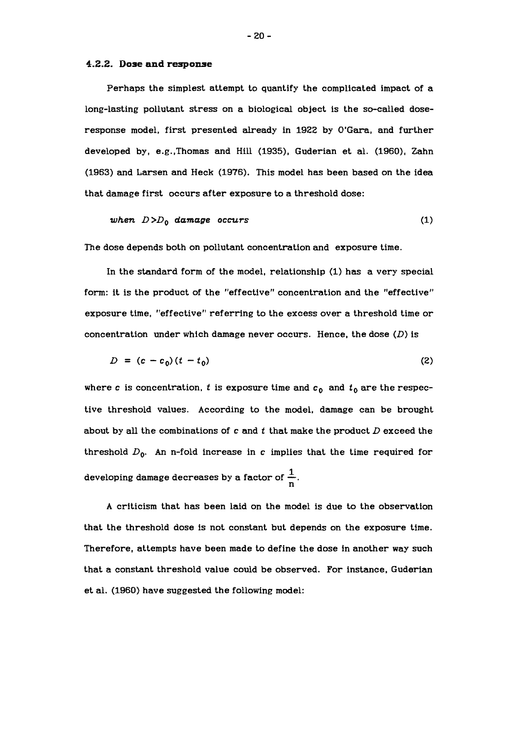#### **4.2.2. Dose and response**

Perhaps the simplest attempt to quantify the complicated impact of a long-lasting pollutant stress on a biological object is the so-called doseresponse model. first presented already in **1922** by O'Gara, and further developed by, e.g.,Thomas and Hill **(1935),** Guderian et al. **(1960),** Zahn **(1963)** and Larsen and Heck **(1976).** This model has been based on the idea that damage first occurs after exposure to a threshold dose:

when 
$$
D > D_0
$$
 damage occurs (1)

The dose depends both on pollutant concentration and exposure time.

In the standard form of the model, relationship (1) has a very special form: it is the product of the "effective" concentration and the "effective" exposure time, "effective" referring to the excess over a threshold time or concentration under which damage never occurs. Hence, the dose **(D)** is

$$
D = (c - c_0)(t - t_0) \tag{2}
$$

where *c* is concentration, *t* is exposure time and  $c_0$  and  $t_0$  are the respective threshold values. According to the model, damage can be brought about by all the combinations of c and t that make the product **D** exceed the threshold  $D_0$ . An n-fold increase in c implies that the time required for developing damage decreases by a factor of  $\frac{1}{n}$ .

A criticism that has been laid on the model is due to the observation that the threshold dose is not constant but depends on the exposure time. Therefore, attempts have been made to define the dose in another way such that a constant threshold value could be observed. For instance, Guderian et al. **(1960)** have suggested the following model: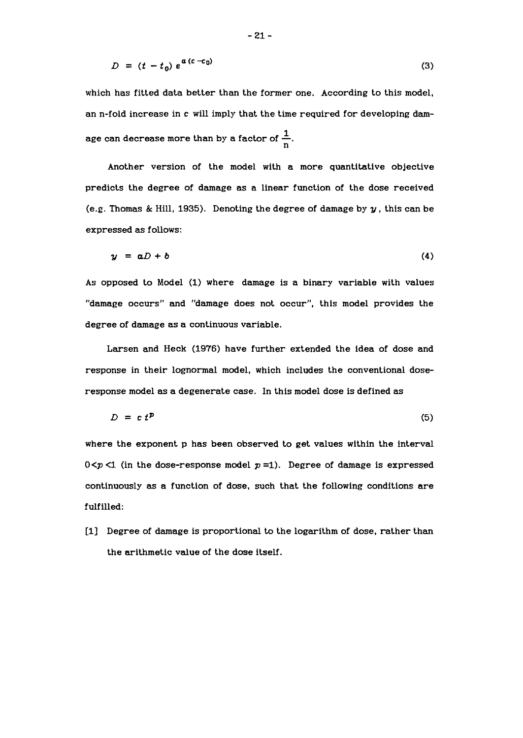$$
D = (t - t_0) e^{\mathbf{a} (c - c_0)}
$$
 (3)

which has fitted data better than the former one. According to this model, an n-fold increase in c will imply that the time required for developing damage can decrease more than by a factor of  $\frac{1}{n}$ .

Another version of the model with a more quantitative objective predicts the degree of damage as a linear function of the dose received (e.g. Thomas & Hill, 1935). Denoting the degree of damage by **y** , this can be expressed as follows:

$$
y = aD + b \tag{4}
$$

As opposed to Model (1) where damage is a binary variable with values "damage occurs" and "damage does not occur", this model provides the degree of damage as a continuous variable.

Larsen and Heck (1976) have further extended the idea of dose and response in their lognormal model, which includes the conventional doseresponse model as a degenerate case. In this model dose is defined as

$$
D = c t^p \tag{5}
$$

where the exponent p has been observed to get values within the interval  $0 < p < 1$  (in the dose-response model  $p = 1$ ). Degree of damage is expressed continuously as a function of dose, such that the following conditions are fulfilled:

[I] Degree of damage is proportional to the logarithm of dose, rather than the arithmetic value of the dose itself.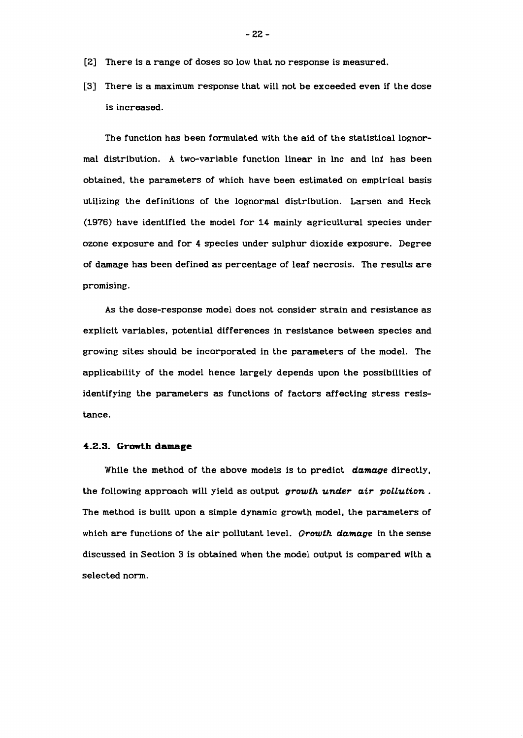- **[2]** There is a range of doses so low that no response is measured.
- [3] There is a maximum response that will not be exceeded even if the dose is increased.

The function has been formulated with the aid of the statistical lognormal distribution. A two-variable function linear in lnc and lnt has been obtained, the parameters of which have been estimated on empirical basis utilizing the definitions of the lognormal distribution. Larsen and Heck (1976) have identified the model for 14 mainly agricultural species under ozone exposure and for 4 species under sulphur dioxide exposure. Degree of damage has been defined as percentage of leaf necrosis. The results are promising.

As the dose-response model does not consider strain and resistance as explicit variables, potential differences in resistance between species and growing sites should be incorporated in the parameters of the model. The applicability of the model hence largely depends upon the possibilities of identifying the parameters as functions of factors affecting stress resistance.

#### **4.2.3. Growth damage**

While the method of the above models is to predict *damage* directly, the following approach will yield as output *growth under air pollution* . The method is built upon a simple dynamic growth model, the parameters of which are functions of the air pollutant level. *Growth damage* in the sense discussed in Section 3 is obtained when the model output is compared with a selected norm.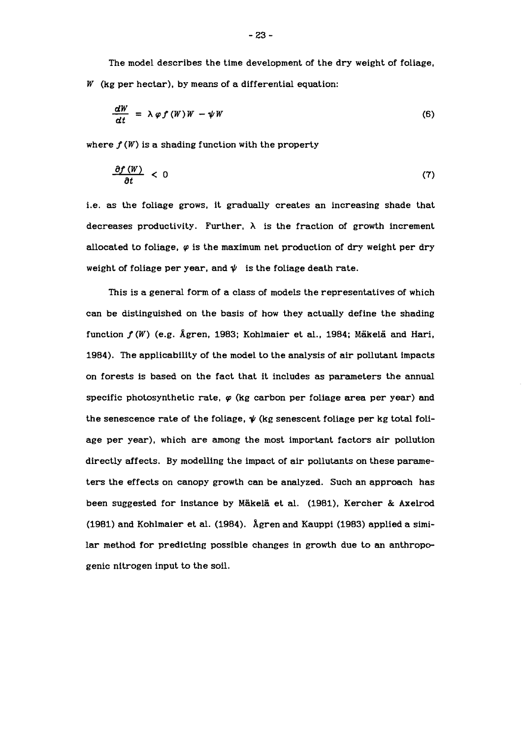The model describes the time development of the dry weight of foliage,  $W$  (kg per hectar), by means of a differential equation:

$$
\frac{dW}{dt} = \lambda \varphi f(W)W - \psi W \tag{6}
$$

where  $f(W)$  is a shading function with the property

$$
\frac{\partial f(W)}{\partial t} < 0 \tag{7}
$$

i.e. as the foliage grows, it gradually creates an increasing shade that decreases productivity. Further,  $\lambda$  is the fraction of growth increment allocated to foliage,  $\varphi$  is the maximum net production of dry weight per dry weight of foliage per year, and  $\psi$  is the foliage death rate.

This is a general form of a class of models the representatives of which can be distinguished on the basis of how they actually define the shading function  $f(W)$  (e.g. Ågren, 1983; Kohlmaier et al., 1984; Mäkelä and Hari, 1984). The applicability of the model to the analysis of air pollutant impacts on forests is based on the fact that it includes as parameters the annual specific photosynthetic rate, **q** (kg carbon per foliage area per year) and the senescence rate of the foliage,  $\psi$  (kg senescent foliage per kg total foliage per year), which are among the most important factors air pollution directly affects. By modelling the impact of air pollutants on these parameters the effects on canopy growth can be analyzed. Such an approach has been suggested for instance by Mäkelä et al. (1981), Kercher & Axelrod (1981) and Kohlmaier et al. (1984). Agren and Kauppi (1983) applied a similar method for predicting possible changes in growth due to an anthropogenic nitrogen input to the soil.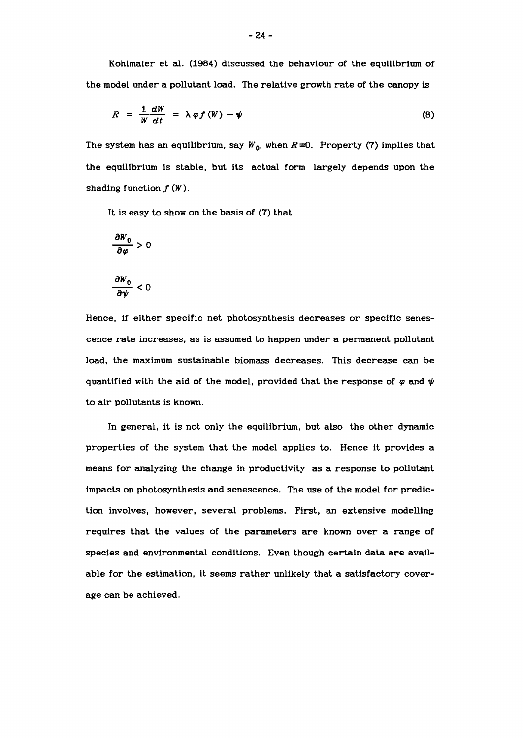Kohlmaier et al. **(1984)** discussed the behaviour of the equilibrium of the model under a pollutant load. The relative growth rate of the canopy is

$$
R = \frac{1}{W} \frac{dW}{dt} = \lambda \varphi f(W) - \psi
$$
 (8)

The system has an equilibrium, say  $W_0$ , when  $R=0$ . Property (7) implies that the equilibrium is stable, but its actual form largely depends upon the shading function  $f(W)$ .

It is easy to show on the basis of **(7)** that

$$
\frac{\partial W_0}{\partial \varphi} > 0
$$

$$
\frac{\partial W_0}{\partial \psi} < 0
$$

Hence, if either specific net photosynthesis decreases or specific senescence rate increases, as is assumed to happen under a permanent pollutant load, the maximum sustainable biomass decreases. This decrease can be quantified with the aid of the model, provided that the response of  $\varphi$  and  $\psi$ to air pollutants is known.

In general, it is not only the equilibrium, but also the other dynamic properties of the system that the model applies to. Hence it provides a means for analyzing the change in productivity as a response to pollutant impacts on photosynthesis and senescence. The use of the model for prediction involves, however, several problems. First, an extensive modelling requires that the values of the parameters are known over a range of species and environmental conditions. Even though certain data are available for the estimation, it seems rather unlikely that a satisfactory coverage can be achieved.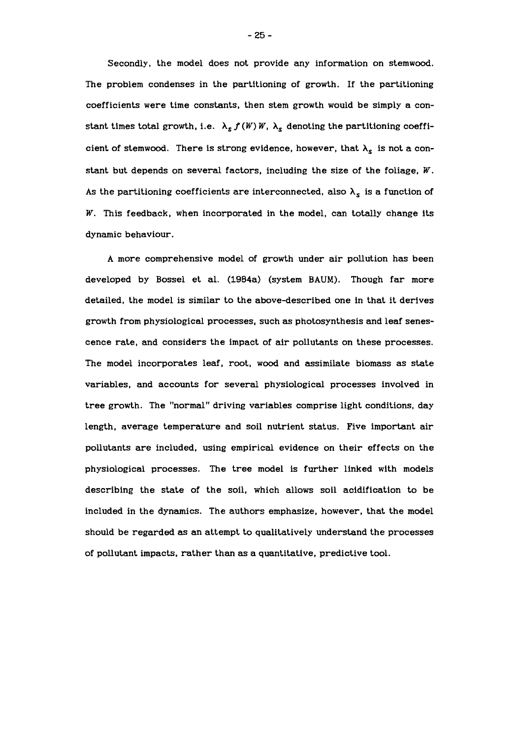Secondly, the model does not provide any information on stemwood. The problem condenses in the partitioning of growth. If the partitioning coefficients were time constants, then stem growth would be simply a constant times total growth, i.e.  $\lambda_s f(W) W$ ,  $\lambda_s$  denoting the partitioning coefficient of stemwood. There is strong evidence, however, that  $\lambda_s$  is not a constant but depends on several factors, including the size of the foliage, W. As the partitioning coefficients are interconnected, also  $\lambda_{\rm s}$  is a function of W. This feedback, when incorporated in the model, can totally change its dynamic behaviour.

A more comprehensive model of growth under air pollution has been developed by Bossel et al. (1984a) (system BAUM). Though far more detailed, the model is similar to the above-described one in that it derives growth from physiological processes, such as photosynthesis and leaf senescence rate, and considers the impact of air pollutants on these processes. The model incorporates leaf, root, wood and assimilate biomass as state variables, and accounts for several physiological processes involved in tree growth. The "normal" driving variables comprise light conditions, day length, average temperature and soil nutrient status. Five important air pollutants are included, using empirical evidence on their effects on the physiological processes. The tree model is further linked with models describing the state of the soil, which allows soil acidification to be included in the dynamics. The authors emphasize, however, that the model should be regarded as an attempt to qualitatively understand the processes of pollutant impacts, rather than as a quantitative, predictive tool.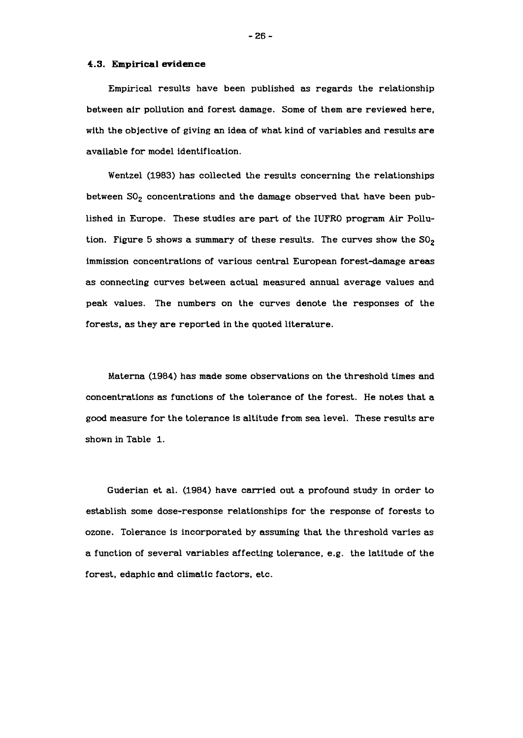#### **4.3. Empirical evidence**

Empirical results have been published as regards the relationship between air pollution and forest damage. Some of them are reviewed here, with the objective of giving an idea of what kind of variables and results are available for model identification.

Wentzel **(1983)** has collected the results concerning the relationships between  $SO_2$  concentrations and the damage observed that have been published in Europe. These studies are part of the IUFRO program Air Pollution. Figure 5 shows a summary of these results. The curves show the  $SO_2$ immission concentrations of various central European forest-damage areas as connecting curves between actual measured annual average values and peak values. The numbers on the curves denote the responses of the forests, as they are reported in the quoted literature.

Materna **(1984)** has made some observations on the threshold times and concentrations as functions of the tolerance of the forest. He notes that a good measure for the tolerance is altitude from sea level. These results are shown in Table **1.** 

Guderian et al. **(1984)** have carried out a profound study in order to establish some dose-response relationships for the response of forests to ozone. Tolerance is incorporated by assuming that the threshold varies as a function of several variables affecting tolerance, e.g. the latitude of the forest, edaphic and climatic factors, etc.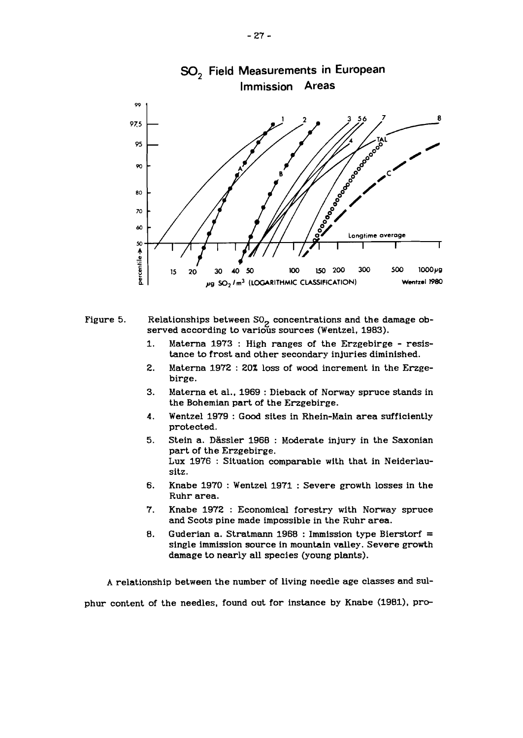

Figure 5. Relationships between  $SO_2$  concentrations and the damage observed according to various sources (Wentzel, 1983).

- 1. Materna 1973 : High ranges of the Erzgebirge resistance to frost and other secondary injuries diminished.
- 2. Materna 1972 : 20% loss of wood increment in the Erzgebirge.
- 3. Materna et al., 1969 : Dieback of Norway spruce stands in the Bohemian part of the Erzgebirge.
- **4.** Wentzel 1979 : Good sites in Rhein-Main area sufficiently protected.
- **5.** Stein a. Dassler 1968 : Moderate injury in the Saxonian part of the Erzgebirge. Lux 1976 : Situation comparable with that in Neiderlausitz.
- **6.** Knabe 1970 : Wentzel 1971 : Severe growth losses in the Ruhr area.
- 7. Knabe 1972 : Economical forestry with Norway spruce and Scots pine made impossible in the Ruhr area.
- 8. Guderian a. Stratmann 1968 : Immission type Bierstorf = single inmission source in mountain valley. Severe growth damage to nearly all species (young plants).

A relationship between the number of living needle age classes and sul-

phur content of the needles, found out for instance by Knabe (1981), pro-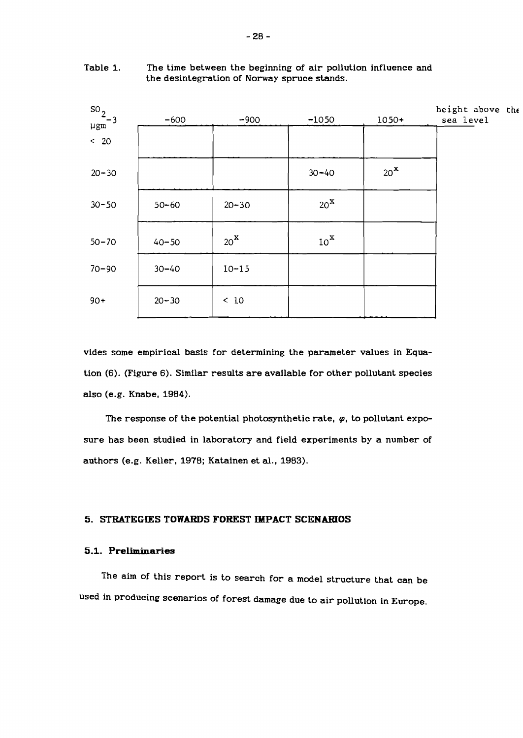| $rac{50}{\mu$ gm <sup>-3</sup> | $-600$    | $-900$            | $-1050$           | $1050+$           | height above the<br>sea level |
|--------------------------------|-----------|-------------------|-------------------|-------------------|-------------------------------|
| $< 20$                         |           |                   |                   |                   |                               |
| $20 - 30$                      |           |                   | $30 - 40$         | $20^{\mathbf{X}}$ |                               |
| $30 - 50$                      | $50 - 60$ | $20 - 30$         | $20^{\mathbf{X}}$ |                   |                               |
| $50 - 70$                      | $40 - 50$ | $20^{\mathbf{X}}$ | $10^{x}$          |                   |                               |
| $70 - 90$                      | $30 - 40$ | $10 - 15$         |                   |                   |                               |
| $90+$                          | $20 - 30$ | < 10              |                   |                   |                               |

Table 1. The time between the beginning of air pollution influence and the desintegration of Norway spruce stands.

vides some empirical basis for determining the parameter values in Equation (6). (Figure 6). Similar results are available for other pollutant species also (e.g. Knabe, 1984).

The response of the potential photosynthetic rate,  $\varphi$ , to pollutant exposure has been studied in laboratory and field experiments by a number of authors (e.g. Keller, 1978; Katainen et al., 1983).

#### **5. STRATEGIES TOWARDS FOREST IMPACT SCENARIOS**

#### **5.1. Preliminaries**

The aim of this report is to search for a model structure that can be used in producing scenarios of forest damage due to air pollution in Europe.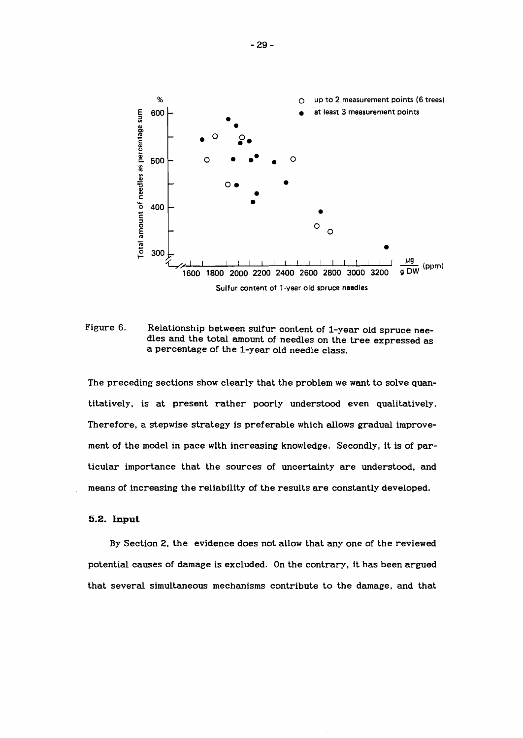

Figure 6. **6.** Relationship between sulfur content of l-year old spruce needles and the total amount of needles on the tree expressed as a percentage of the l-year old needle class.

The preceding sections show clearly that the problem we want to solve quantitatively, is at present rather poorly understood even qualitatively. Therefore, a stepwise strategy is preferable which allows gradual improvement of the model in pace with increasing knowledge. Secondly, it is of particular importance that the sources of uncertainty are understood, and means of increasing the reliability of the results are constantly developed.

#### **5.2. Input**

By Section 2, the evidence does not allow that any one of the reviewed potential causes of damage is excluded. On the contrary, it has been argued that several simultaneous mechanisms contribute to the damage, and that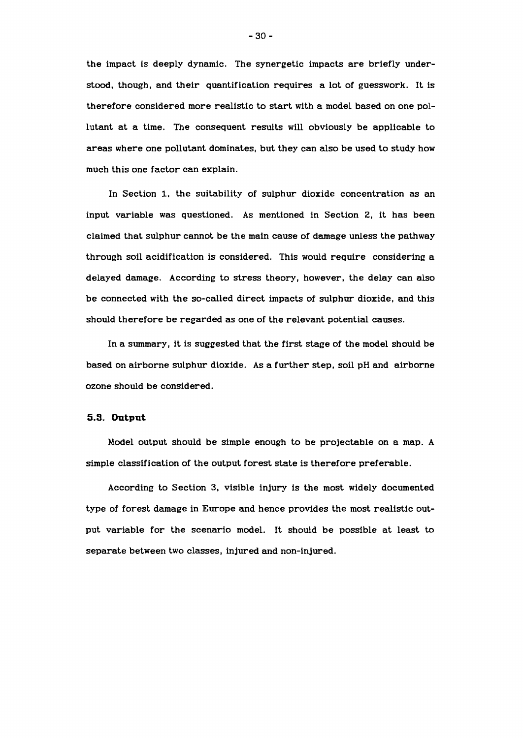the impact is deeply dynamic. The synergetic impacts are briefly understood, though, and their quantification requires a lot of guesswork. It is therefore considered more realistic to start with a model based on one pollutant at a time. The consequent results will obviously be applicable to areas where one pollutant dominates, but they can also be used to study how much this one factor can explain.

In Section 1, the suitability of sulphur dioxide concentration as an input variable was questioned. As mentioned in Section 2, it has been claimed that sulphur cannot be the main cause of damage unless the pathway through soil acidification is considered. This would require considering a delayed damage. According to stress theory, however, the delay can also be connected with the so-called direct impacts of sulphur dioxide, and this should therefore be regarded as one of the relevant potential causes.

In a summary, it is suggested that the first stage of the model should be based on airborne sulphur dioxide. As a further step, soil pH and airborne ozone should be considered.

#### **5.3. Output**

Model output should be simple enough to be projectable on a map. A simple classification of the output forest state is therefore preferable.

According to Section 3, visible injury is the most widely documented type of forest damage in Europe and hence provides the most realistic output variable for the scenario model. It should be possible at least to separate between two classes, injured and non-injured.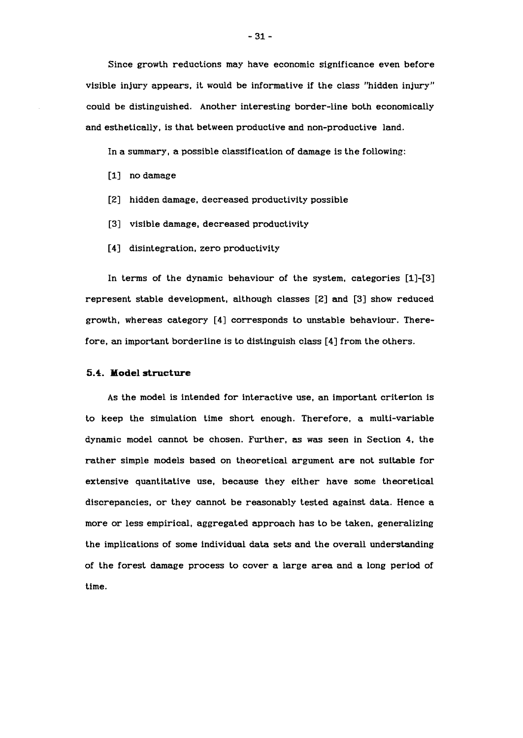Since growth reductions may have economic significance even before visible injury appears, it would be informative if the class "hidden injury" could be distinguished. Another interesting border-line both economically and esthetically, is that between productive and non-productive land.

In a summary, a possible classification of damage is the following:

- **[I]** no damage
- **[2]** hidden damage, decreased productivity possible
- **[3]** visible damage, decreased productivity
- **[4]** disintegration, zero productivity

In terms of the dynamic behaviour of the system, categories **[I]-[3]**  represent stable development, although classes **[2]** and **[3]** show reduced growth, whereas category **[4]** corresponds to unstable behaviour. Therefore, an important borderline is to distinguish class **[4]** from the others.

#### **5.4. Model structure**

As the model is intended for interactive use, an important criterion is to keep the simulation time short enough. Therefore, a multi-variable dynamic model cannot be chosen. Further, as was seen in Section **4.** the rather simple models based on theoretical argument are not suitable for extensive quantitative use, because they either have some theoretical discrepancies, or they cannot be reasonably tested against data. Hence a more or less empirical, aggregated approach has to be taken, generalizing the implications of some individual data sets and the overall understanding of the forest damage process to cover a large area and a long period of time.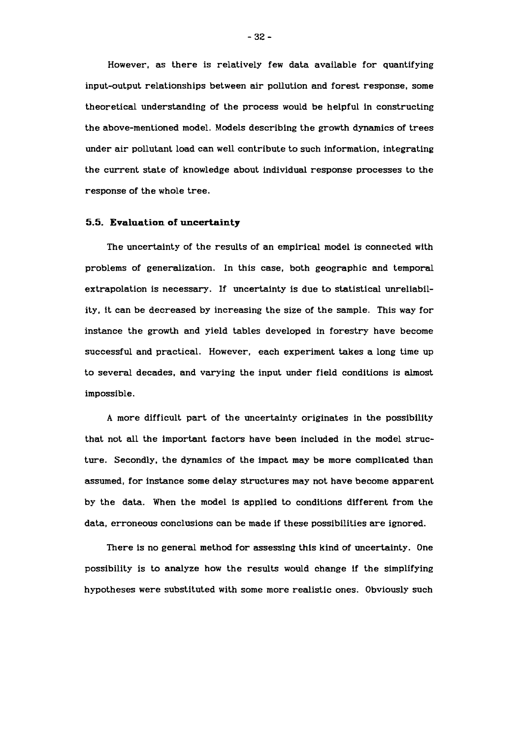However, as there is relatively few data available for quantifying input-output relationships between air pollution and forest response, some theoretical understanding of the process would be helpful in constructing the above-mentioned model. Models describing the growth dynamics of trees under air pollutant load can well contribute to such information, integrating the current state of knowledge about individual response processes to the response of the whole tree.

#### **5.5. Evaluation of uncertainty**

The uncertainty of the results of an empirical model is connected with problems of generalization. In this case, both geographic and temporal extrapolation is necessary. If uncertainty is due to statistical unreliability, it can be decreased by increasing the size of the sample. This way for instance the growth and yield tables developed in forestry have become successful and practical. However, each experiment takes a long time up to several decades, and varying the input under field conditions is almost impossible.

A more difficult part of the uncertainty originates in the possibility that not all the important factors have been included in the model structure. Secondly. the dynamics of the impact may be more complicated than assumed, for instance some delay structures may not have become apparent by the data. When the model is applied to conditions different from the data, erroneous conclusions can be made if these possibilities are ignored.

There is no general method for assessing this kind of uncertainty. One possibility is to analyze how the results would change if the simplifying hypotheses were substituted with some more realistic ones. Obviously such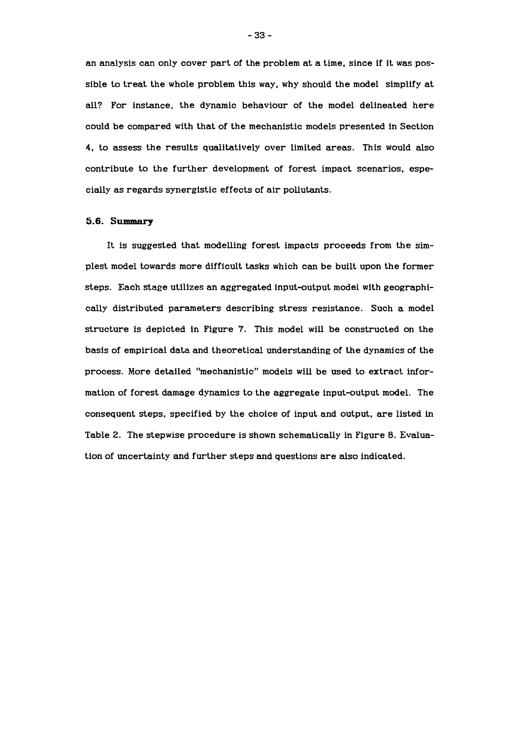an analysis can only cover part of the problem at a time, since if it was possible to treat the whole problem this way, why should the model simplify at all? For instance, the dynamic behaviour of the model delineated here could be compared with that of the mechanistic models presented in Section 4, to assess the results qualitatively over limited areas. This would also contribute to the further development of forest impact scenarios, especially as regards synergistic effects of air pollutants.

#### 5.6. Summary

It is suggested that modelling forest impacts proceeds from the simplest model towards more difficult tasks which can be built upon the former steps. Each stage utilizes an aggregated input-output model with geographically distributed parameters describing stress resistance. Such a model structure is depicted in Figure 7. This model will be constructed on the basis of empirical data and theoretical understanding of the dynamics of the process. More detailed "mechanistic" models will be used to extract information of forest damage dynamics to the aggregate input-output model. The consequent steps, specified by the choice of input and output, are listed in Table 2. The stepwise procedure is shown schematically in Figure 8. Evaluation of uncertainty and further steps and questions are also indicated.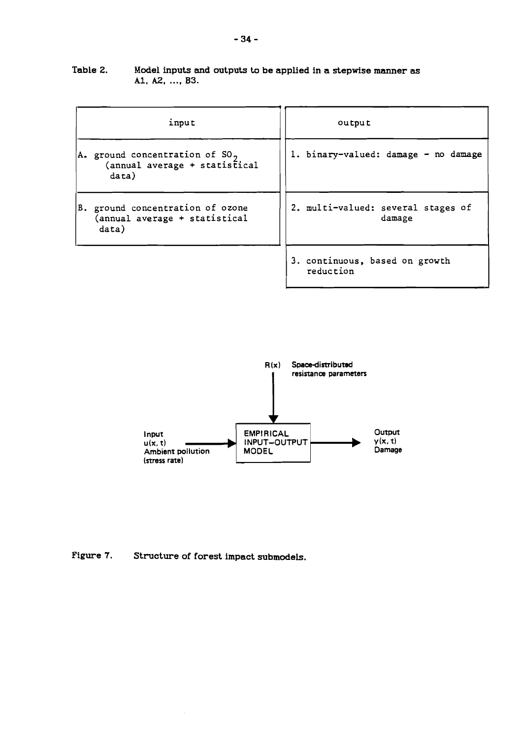#### **Table 2. Model inputs and outputs to be applied in a stepwise manner as Al, A2,** ..., **B3.**

| input                                                                         | output                                       |  |  |
|-------------------------------------------------------------------------------|----------------------------------------------|--|--|
| A. ground concentration of ${SO_2}$<br>(annual average + statistical<br>data) | 1. binary-valued: damage - no damage         |  |  |
| B. ground concentration of ozone<br>(annual average + statistical<br>data)    | 2. multi-valued: several stages of<br>damage |  |  |
|                                                                               | 3. continuous, based on growth<br>reduction  |  |  |



### **Figure 7. Structure of forest impact submodels.**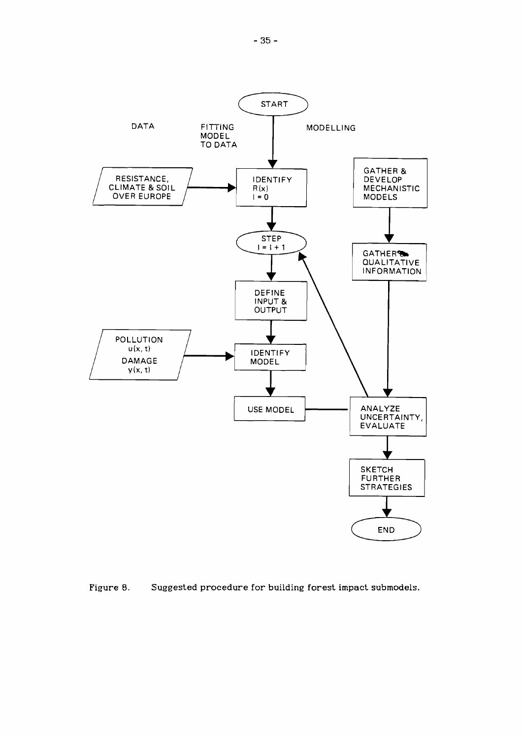

**Figure 8. Suggested procedure for building forest impact submodels.**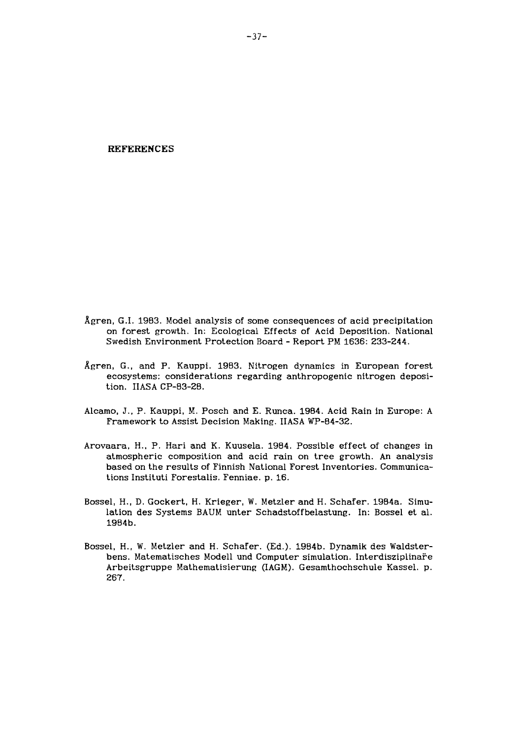**REFERENCES** 

- Agren, G.I. 1983. Model analysis of some consequences of acid precipitation on forest growth. In: Ecological Effects of Acid Deposition. National Swedish Environment Protection Board - Report PM 1636: 233-244.
- Agren, G., and P. Kauppi. 1983. Nitrogen dynamics in European forest ecosystems: considerations regarding anthropogenic nitrogen deposition. IIASA CP-83-28.
- Alcamo, J., P. Kauppi, M. Posch and E. Runca. 1984. Acid Rain in Europe: A Framework to Assist Decision Making. IIASA WP-84-32.
- Arovaara, H., P. Hari and K. Kuusela. 1984. Possible effect of changes in atmospheric composition and acid rain on tree growth. An analysis based on the results of Finnish National Forest Inventories. Communications Instituti Forestalis. Fenniae. p. 16.
- Bossel, H., D. Gockert, H. Krieger, W. Metzler and H. Schafer. 1984a. Simulation des Systems BAUM unter Schadstoffbelastung. In: Bossel et al. 1984b.
- Bossel, H., W. Metzler and H. Schafer. (Ed.). 1984b. Dynamik des Waldsterbens. Matematisches Modell und Computer simulation. Interdisziplinare Arbeitsgruppe Mathematisierung (IAGM). Gesamthochschule Kassel. p. 267.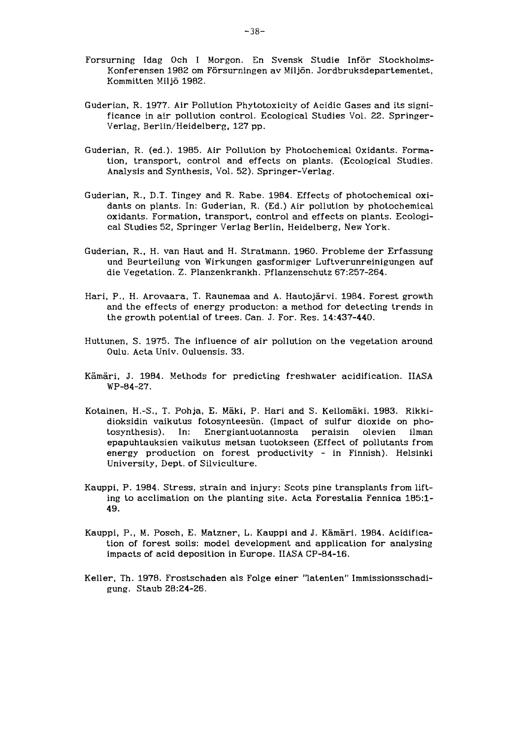- Forsurning Idag Och I Morgon. En Svensk Studie Inför Stockholms-Konferensen 1982 om Försurningen av Miljön. Jordbruksdepartementet, Kommitten Miljö 1982.
- Guderian, R. 1977. Air Pollution Phytotoxicity of Acidic Gases and its significance in air pollution control. Ecological Studies Vol. 22. Springer-Verlag, Berlin/Heidelberg, 127 pp.
- Guderian, R. (ed.). 1985. Air Pollution by Photochemical Oxidants. Formation, transport, control and effects on plants. (Ecological Studies. Analysis and Synthesis, Vol. 52). Springer-Verlag.
- Guderian, R., D.T. Tingey and R. Rabe. 1984. Effects of photochemical oxidants on plants. In: Guderian, R. (Ed.) Air pollution by photochemical oxidants. Formation, transport, control and effects on plants. Ecological Studies 52, Springer Verlag Berlin, Heidelberg, New York.
- Guderian, R., H. van Haut and H. Stratmann. 1960. Probleme der Erfassung und Beurteilung von Wirkungen gasformiger Luftverunreinigungen auf die Vegetation. Z. Planzenkrankh. Pflanzenschutz 67:257-264.
- Hari, P., H. Arovaara, T. Raunemaa and A. Hautojarvi. 1984. Forest growth and the effects of energy producton: a method for detecting trends in the growth potential of trees. Can. J. For. Res. 14:437-440.
- Huttunen, S. 1975. The influence of air pollution on the vegetation around Oulu. Acta Univ. Ouluensis. 33.
- Kamari, J. 1984. Methods for predicting freshwater acidification. IIASA WP-84-27.
- Kotainen, H.-S., T. Pohja, E. Mäki, P. Hari and S. Kellomäki. 1983. Rikkidioksidin vaikutus fotosynteesiin. (Impact of sulfur dioxide on photosynthesis). In: Energiantuotannosta peraisin olevien ilman epapuhtauksien vaikutus metsan tuotokseen (Effect of pollutants from energy production on forest productivity - in Finnish). Helsinki University, Dept. of Silviculture.
- Kauppi, P. 1984. Stress, strain and injury: Scots pine transplants from lifting to acclimation on the planting site. Acta Forestalia Fennica 185:l-49.
- Kauppi, P., M. Posch, E. Matzner, L. Kauppi and J. Kamari. 1984. Acidification of forest soils: model development and application for analysing impacts of acid deposition in Europe. IIASA CP-84-16.
- Keller, Th. 1978. Frostschaden als Folge einer "latenten" Immissionsschadigung. Staub 28:24-26.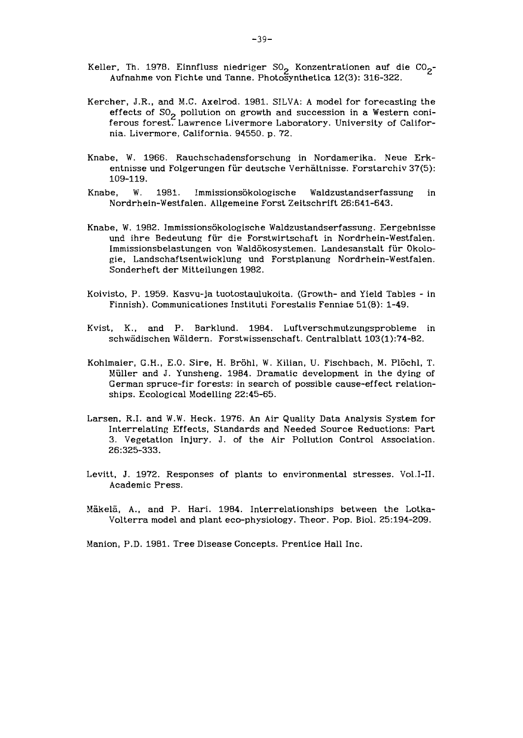- Keller, Th. 1978. Einnfluss niedriger SO<sub>2</sub> Konzentrationen auf die CO<sub>2</sub>-Aufnahme von Fichte und Tanne. Photosynthetica 12(3): 316-322.
- Kercher, J.R., and M.C. Axelrod. 1981. SILVA: A model for forecasting the effects of SO<sub>2</sub> pollution on growth and succession in a Western coniferous forest. Lawrence Livermore Laboratory. University of California. Livermore, California. 94550. p. 72.
- Knabe, W. 1966. Rauchschadensforschung in Nordamerika. Neue Erkentnisse und Folgerungen für deutsche Verhältnisse. Forstarchiv 37(5): 109-119.
- Knabe, W. 1981. Immissionsökologische Waldzustandserfassung in Nordrhein-Westfalen. Allgemeine Forst Zeitschrift 26:641-643.
- Knabe, W. 1982. Immissionsökologische Waldzustandserfassung. Eergebnisse und ihre Bedeutung fiir die Forstwirtschaft in Nordrhein-Westfalen. Immissionsbelastungen von Waldökosystemen. Landesanstalt für Okologie, Landschaftsentwicklung und Forstplanung Nordrhein-Westfalen. Sonderheft der Mitteilungen 1982.
- Koivisto, P. 1959. Kasvu-ja tuotostaulukoita. (Growth- and Yield Tables in Finnish). Communicationes Instituti Forestalis Fenniae 51(8): 1-49.
- Kvist, K., and P. Barklund. 1984. **Luftverschmutzungsprobleme** in schwadischen Waldern. Forstwissenschaft. Centralblatt 103(1):74-82.
- Kohlmaier, G.H., E.O. Sire, H. Bröhl, W. Kilian, U. Fischbach, M. Plöchl, T. Muller and J. Yunsheng. 1984. Dramatic development in the dying of German spruce-fir forests: in search of possible cause-effect relationships. Ecological Modelling 22:45-65.
- Larsen. R.I. and W.W. Heck. 1976. An Air Quality Data Analysis System for Interrelating Effects, Standards and Needed Source Reductions: Part 3. Vegetation Injury. J. of the Air Pollution Control Association. 26:325-333.
- Levitt, J. 1972. Responses of plants to environmental stresses. Vol.1-11. Academic Press.
- Makela, A., and P. Hari. 1984. Interrelationships between the Lotka-Volterra model and plant eco-physiology. Theor. Pop. Biol. 25:194-209.

Manion, P.D. 1981. Tree Disease Concepts. Prentice Hall Inc.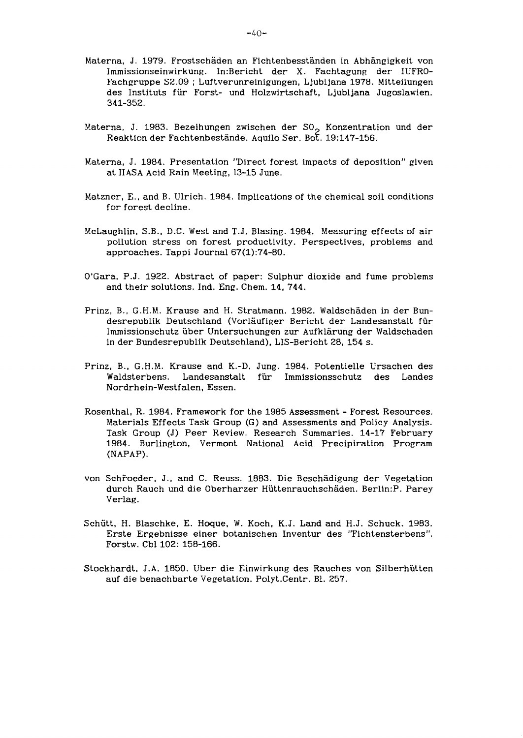- Materna, J. 1979. Frostschaden an Fichtenbesstanden in Abhangigkeit von Immissionseinwirkung. 1n:Bericht der X. Fachtagung der IUFRO-Fachgruppe S2.09 ; Luftverunreinigungen, Ljubljana 1978. Mitteilungen des Instituts fiir Forst- und Holzwirtschaft, Ljubljana Jugoslawien. 341-352.
- Materna, J. 1983. Bezeihungen zwischen der SO<sub>2</sub> Konzentration und der Reaktion der Fachtenbestände. Aquilo Ser. Bot. 19:147-156.
- Materna, J. 1984. Presentation "Direct forest impacts of deposition" given at IIASA Acid Rain Meeting, 13-15 June.
- Matzner, E., and B. Ulrich. 1984. Implications of the chemical soil conditions for forest decline.
- McLaughlin, S.B., D.C. West and T.J. Blasing. 1984. Measuring effects of air pollution stress on forest productivity. Perspectives, problems and approaches. Tappi Journal 67(1):74-80.
- O'Gara, P.J. 1922. Abstract of paper: Sulphur dioxide and fume problems and their solutions. Ind. Eng. Chem. 14, 744.
- Prinz, B., G.H.M. Krause and H. Stratmann. 1982. Waldschäden in der Bundesrepublik Deutschland (Vorläufiger Bericht der Landesanstalt für Immissionschutz iiber Untersuchungen zur Aufklarung der Waldschaden in der Bundesrepublik Deutschland), LIS-Bericht 28, 154 s.
- Prinz, B., G .H.M. Krause and K.-D. Jung. 1984. Potentielle Ursachen des Waldsterbens. Landesanstalt fiir Immissionsschutz des Landes Nordrhein-Westfalen, Essen.
- Rosenthal, R. 1984. Framework for the 1985 Assessment Forest Resources. Materials Effects Task Group (G) and Assessments and Policy Analysis. Task Croup (J) Peer Review. Research Summaries. 14-17 February 1984. Burlington, Vermont National Acid Precipiration Program (NAPAP) .
- von Schroeder, J., and C. Reuss. 1883. Die Beschadigung der Vegetation durch Rauch und die Oberharzer Hiittenrauchschaden. Ber1in:P. Parey Verlag.
- Schiitt, H. Blaschke, E. Hoque, W. Koch, K.J. Land and H.J. Schuck. 1983. Erste Ergebnisse einer botanischen Inventur des "Fichtensterbens". Forstw. Cbl 102: 158-166.
- Stockhardt, J.A. 1850. Uber die Einwirkung des Rauches von Silberhiitten auf die benachbarte Vegetation. Polyt.Centr. Bl. 257.